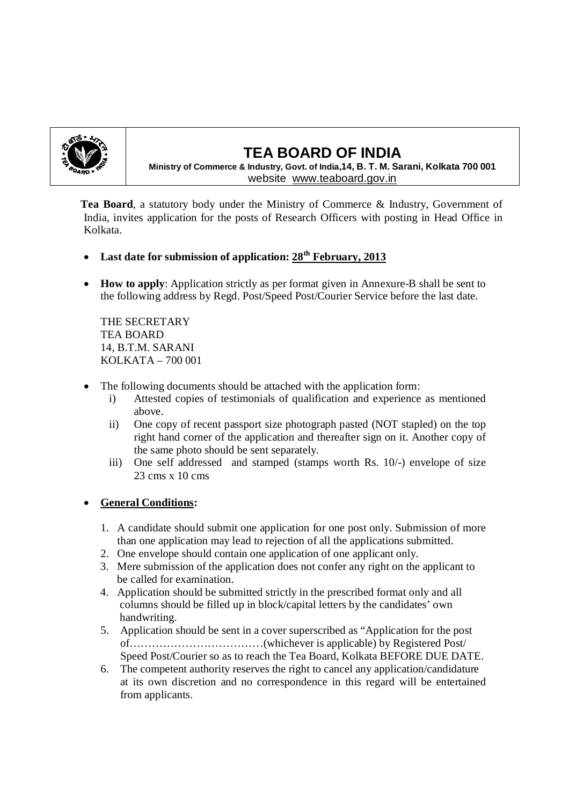

# **TEA BOARD OF INDIA**

**Ministry of Commerce & Industry, Govt. of India,14, B. T. M. Sarani, Kolkata 700 001** website www.teaboard.gov.in

 **Tea Board**, a statutory body under the Ministry of Commerce & Industry, Government of India, invites application for the posts of Research Officers with posting in Head Office in Kolkata.

- **Last date for submission of application: 28th February, 2013**
- **How to apply**: Application strictly as per format given in Annexure-B shall be sent to the following address by Regd. Post/Speed Post/Courier Service before the last date.

THE SECRETARY TEA BOARD 14, B.T.M. SARANI KOLKATA – 700 001

- The following documents should be attached with the application form:
	- i) Attested copies of testimonials of qualification and experience as mentioned above.
	- ii) One copy of recent passport size photograph pasted (NOT stapled) on the top right hand corner of the application and thereafter sign on it. Another copy of the same photo should be sent separately.
	- iii) One self addressed and stamped (stamps worth Rs. 10/-) envelope of size 23 cms x 10 cms

### **General Conditions:**

- 1. A candidate should submit one application for one post only. Submission of more than one application may lead to rejection of all the applications submitted.
- 2. One envelope should contain one application of one applicant only.
- 3. Mere submission of the application does not confer any right on the applicant to be called for examination.
- 4. Application should be submitted strictly in the prescribed format only and all columns should be filled up in block/capital letters by the candidates' own handwriting.
- 5. Application should be sent in a cover superscribed as "Application for the post of………………………………(whichever is applicable) by Registered Post/ Speed Post/Courier so as to reach the Tea Board, Kolkata BEFORE DUE DATE.
- 6. The competent authority reserves the right to cancel any application/candidature at its own discretion and no correspondence in this regard will be entertained from applicants.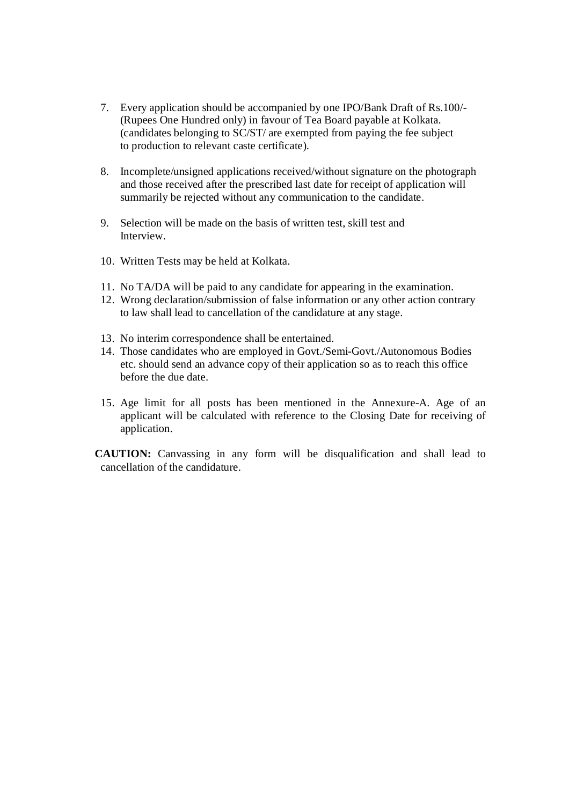- 7. Every application should be accompanied by one IPO/Bank Draft of Rs.100/- (Rupees One Hundred only) in favour of Tea Board payable at Kolkata. (candidates belonging to SC/ST/ are exempted from paying the fee subject to production to relevant caste certificate).
- 8. Incomplete/unsigned applications received/without signature on the photograph and those received after the prescribed last date for receipt of application will summarily be rejected without any communication to the candidate.
- 9. Selection will be made on the basis of written test, skill test and Interview.
- 10. Written Tests may be held at Kolkata.
- 11. No TA/DA will be paid to any candidate for appearing in the examination.
- 12. Wrong declaration/submission of false information or any other action contrary to law shall lead to cancellation of the candidature at any stage.
- 13. No interim correspondence shall be entertained.
- 14. Those candidates who are employed in Govt./Semi-Govt./Autonomous Bodies etc. should send an advance copy of their application so as to reach this office before the due date.
- 15. Age limit for all posts has been mentioned in the Annexure-A. Age of an applicant will be calculated with reference to the Closing Date for receiving of application.

 **CAUTION:** Canvassing in any form will be disqualification and shall lead to cancellation of the candidature.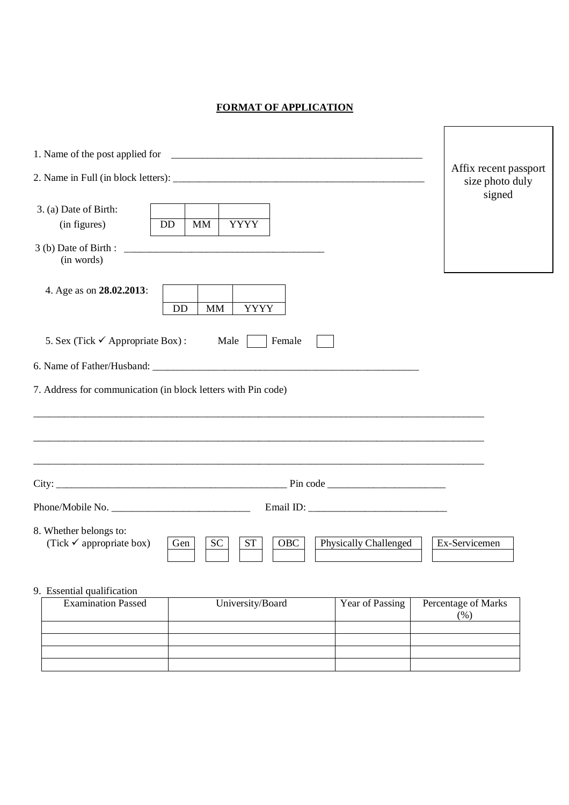### **FORMAT OF APPLICATION**

Г

|                                                                                                                                              | Affix recent passport<br>size photo duly<br>signed |
|----------------------------------------------------------------------------------------------------------------------------------------------|----------------------------------------------------|
| 3. (a) Date of Birth:                                                                                                                        |                                                    |
| (in figures)<br><b>YYYY</b><br><b>DD</b><br>MM                                                                                               |                                                    |
| (in words)                                                                                                                                   |                                                    |
| 4. Age as on 28.02.2013:<br><b>YYYY</b><br><b>DD</b><br>MM                                                                                   |                                                    |
| 5. Sex (Tick $\checkmark$ Appropriate Box):<br>Male<br>Female                                                                                |                                                    |
|                                                                                                                                              |                                                    |
| 7. Address for communication (in block letters with Pin code)                                                                                |                                                    |
|                                                                                                                                              |                                                    |
|                                                                                                                                              |                                                    |
| 8. Whether belongs to:<br>(Tick $\checkmark$ appropriate box)<br><b>SC</b><br><b>ST</b><br><b>OBC</b><br><b>Physically Challenged</b><br>Gen | Ex-Servicemen                                      |
| 9. Essential qualification                                                                                                                   |                                                    |
| <b>Examination Passed</b><br>University/Board<br>Year of Passing                                                                             | Percentage of Marks<br>(% )                        |
|                                                                                                                                              |                                                    |
|                                                                                                                                              |                                                    |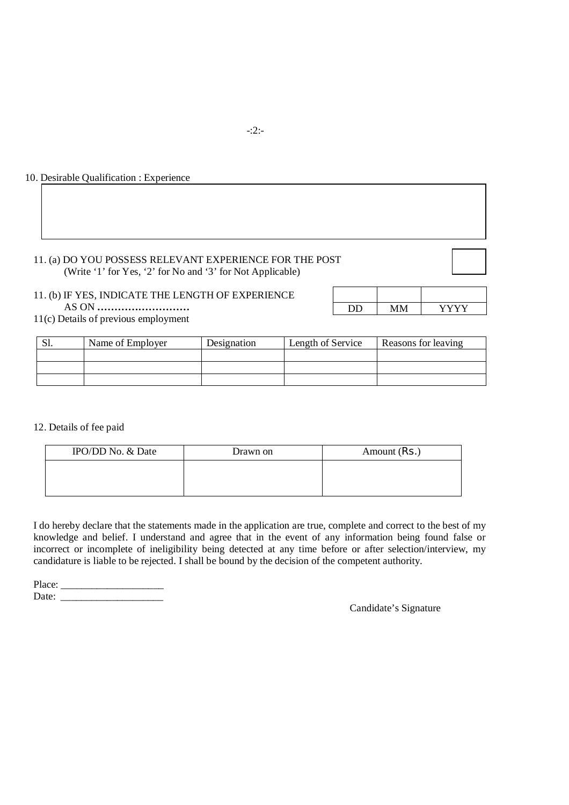#### 10. Desirable Qualification : Experience

#### 11. (a) DO YOU POSSESS RELEVANT EXPERIENCE FOR THE POST (Write '1' for Yes, '2' for No and '3' for Not Applicable)

#### 11. (b) IF YES, INDICATE THE LENGTH OF EXPERIENCE AS ON **………………………**

|  | 73 73 73 7 |
|--|------------|

11(c) Details of previous employment

| .JI. | Name of Employer | Designation | Length of Service | Reasons for leaving |
|------|------------------|-------------|-------------------|---------------------|
|      |                  |             |                   |                     |
|      |                  |             |                   |                     |
|      |                  |             |                   |                     |

12. Details of fee paid

| IPO/DD No. & Date | Drawn on | Amount (Rs.) |
|-------------------|----------|--------------|
|                   |          |              |
|                   |          |              |

I do hereby declare that the statements made in the application are true, complete and correct to the best of my knowledge and belief. I understand and agree that in the event of any information being found false or incorrect or incomplete of ineligibility being detected at any time before or after selection/interview, my candidature is liable to be rejected. I shall be bound by the decision of the competent authority.

Place: \_\_\_\_\_\_\_\_\_\_\_\_\_\_\_\_\_\_\_\_ Date: \_\_\_\_\_\_\_\_\_\_\_\_\_\_\_\_\_\_\_\_

Candidate's Signature